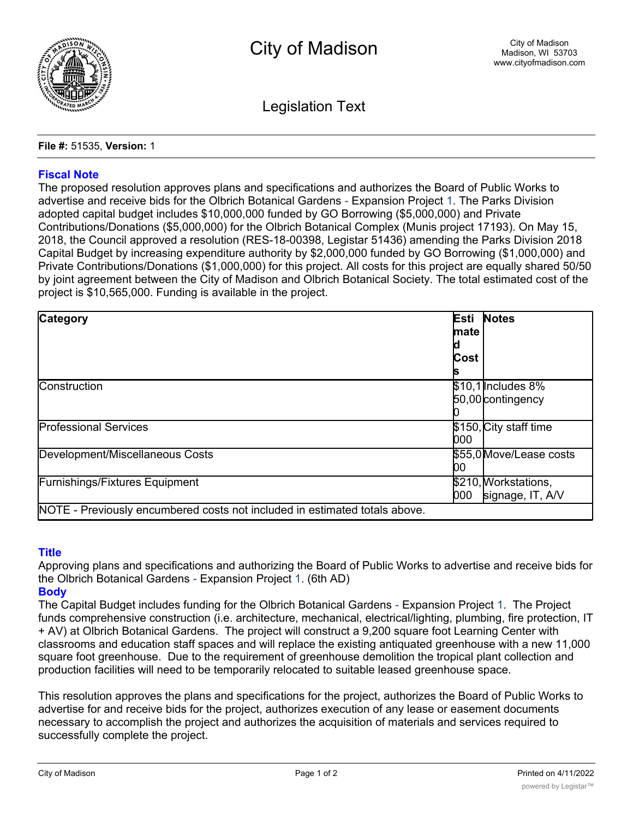

Legislation Text

**File #:** 51535, **Version:** 1

## **Fiscal Note**

The proposed resolution approves plans and specifications and authorizes the Board of Public Works to advertise and receive bids for the Olbrich Botanical Gardens - Expansion Project 1. The Parks Division adopted capital budget includes \$10,000,000 funded by GO Borrowing (\$5,000,000) and Private Contributions/Donations (\$5,000,000) for the Olbrich Botanical Complex (Munis project 17193). On May 15, 2018, the Council approved a resolution (RES-18-00398, Legistar 51436) amending the Parks Division 2018 Capital Budget by increasing expenditure authority by \$2,000,000 funded by GO Borrowing (\$1,000,000) and Private Contributions/Donations (\$1,000,000) for this project. All costs for this project are equally shared 50/50 by joint agreement between the City of Madison and Olbrich Botanical Society. The total estimated cost of the project is \$10,565,000. Funding is available in the project.

| <b>Category</b>                                                            | Esti<br>mate | <b>Notes</b>                             |
|----------------------------------------------------------------------------|--------------|------------------------------------------|
|                                                                            | Cost         |                                          |
| <b>Construction</b>                                                        |              | $$10,1$ Includes 8%<br>50,00 contingency |
| <b>Professional Services</b>                                               | 000          | \$150, City staff time                   |
| Development/Miscellaneous Costs                                            | 00           | \$55,0 Move/Lease costs                  |
| <b>Furnishings/Fixtures Equipment</b>                                      | 000          | \$210, Workstations,<br>signage, IT, A/V |
| NOTE - Previously encumbered costs not included in estimated totals above. |              |                                          |

## **Title**

Approving plans and specifications and authorizing the Board of Public Works to advertise and receive bids for the Olbrich Botanical Gardens - Expansion Project 1. (6th AD)

# **Body**

The Capital Budget includes funding for the Olbrich Botanical Gardens - Expansion Project 1. The Project funds comprehensive construction (i.e. architecture, mechanical, electrical/lighting, plumbing, fire protection, IT + AV) at Olbrich Botanical Gardens. The project will construct a 9,200 square foot Learning Center with classrooms and education staff spaces and will replace the existing antiquated greenhouse with a new 11,000 square foot greenhouse. Due to the requirement of greenhouse demolition the tropical plant collection and production facilities will need to be temporarily relocated to suitable leased greenhouse space.

This resolution approves the plans and specifications for the project, authorizes the Board of Public Works to advertise for and receive bids for the project, authorizes execution of any lease or easement documents necessary to accomplish the project and authorizes the acquisition of materials and services required to successfully complete the project.